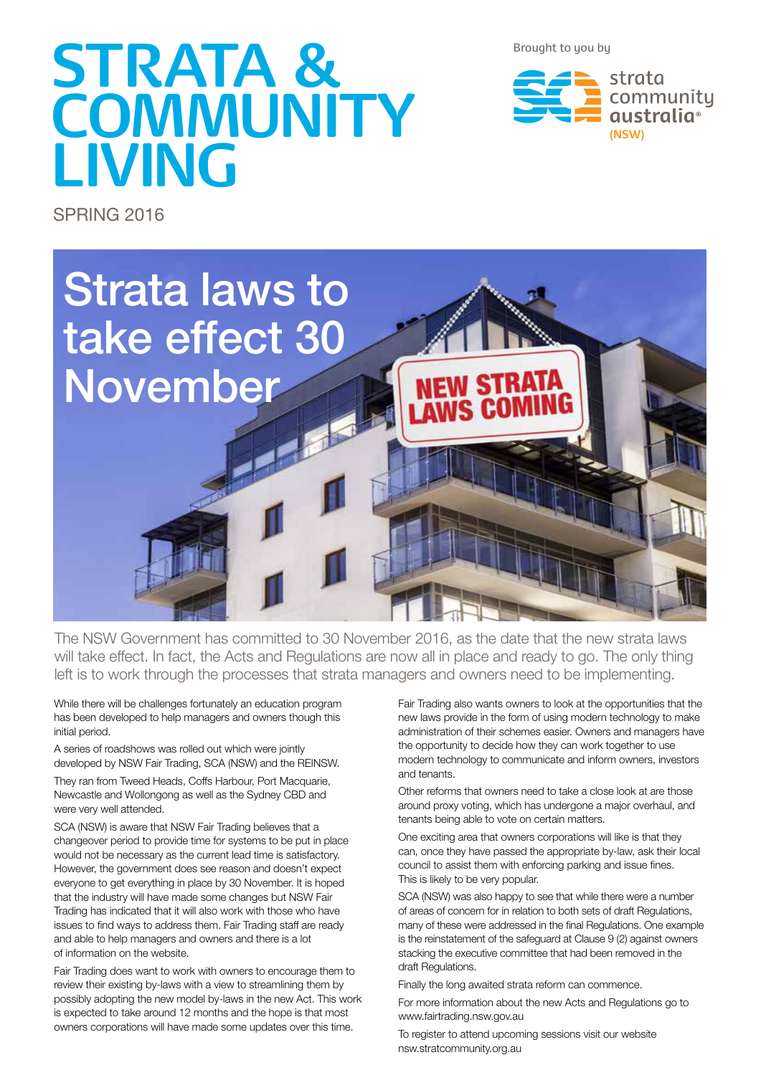Brought to you by

# **STRATA & COMMUNITY LIVING**



SPRING 2016



The NSW Government has committed to 30 November 2016, as the date that the new strata laws will take effect. In fact, the Acts and Regulations are now all in place and ready to go. The only thing left is to work through the processes that strata managers and owners need to be implementing.

While there will be challenges fortunately an education program has been developed to help managers and owners though this initial period.

A series of roadshows was rolled out which were jointly developed by NSW Fair Trading, SCA (NSW) and the REINSW.

They ran from Tweed Heads, Coffs Harbour, Port Macquarie, Newcastle and Wollongong as well as the Sydney CBD and were very well attended.

SCA (NSW) is aware that NSW Fair Trading believes that a changeover period to provide time for systems to be put in place would not be necessary as the current lead time is satisfactory. However, the government does see reason and doesn't expect everyone to get everything in place by 30 November. It is hoped that the industry will have made some changes but NSW Fair Trading has indicated that it will also work with those who have issues to find ways to address them. Fair Trading staff are ready and able to help managers and owners and there is a lot of information on the website.

Fair Trading does want to work with owners to encourage them to review their existing by-laws with a view to streamlining them by possibly adopting the new model by-laws in the new Act. This work is expected to take around 12 months and the hope is that most owners corporations will have made some updates over this time.

Fair Trading also wants owners to look at the opportunities that the new laws provide in the form of using modern technology to make administration of their schemes easier. Owners and managers have the opportunity to decide how they can work together to use modern technology to communicate and inform owners, investors and tenants.

Other reforms that owners need to take a close look at are those around proxy voting, which has undergone a major overhaul, and tenants being able to vote on certain matters.

One exciting area that owners corporations will like is that they can, once they have passed the appropriate by-law, ask their local council to assist them with enforcing parking and issue fines. This is likely to be very popular.

SCA (NSW) was also happy to see that while there were a number of areas of concern for in relation to both sets of draft Regulations, many of these were addressed in the final Regulations. One example is the reinstatement of the safeguard at Clause 9 (2) against owners stacking the executive committee that had been removed in the draft Regulations.

Finally the long awaited strata reform can commence.

For more information about the new Acts and Regulations go to www.fairtrading.nsw.gov.au

To register to attend upcoming sessions visit our website nsw.stratcommunity.org.au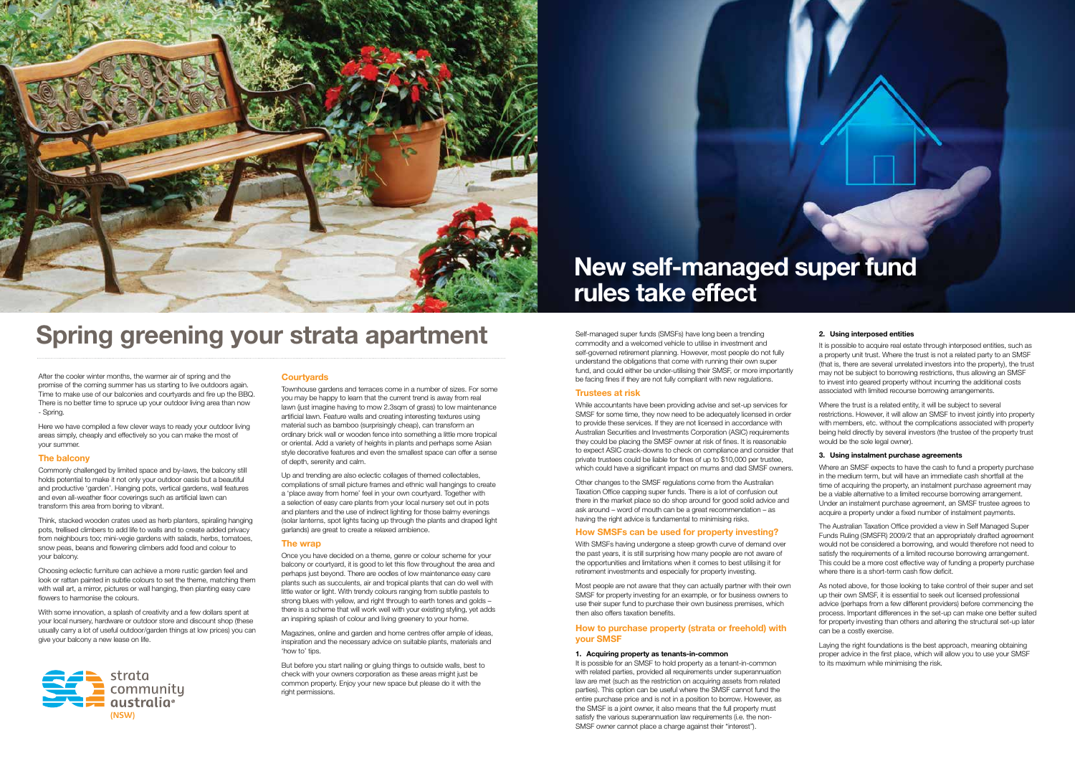



# **Spring greening your strata apartment**

# **New self-managed super fund rules take effect**

After the cooler winter months, the warmer air of spring and the promise of the coming summer has us starting to live outdoors again. Time to make use of our balconies and courtyards and fire up the BBQ. There is no better time to spruce up your outdoor living area than now - Spring.

Here we have compiled a few clever ways to ready your outdoor living areas simply, cheaply and effectively so you can make the most of your summer.

#### **The balcony**

Commonly challenged by limited space and by-laws, the balcony still holds potential to make it not only your outdoor oasis but a beautiful and productive 'garden'. Hanging pots, vertical gardens, wall features and even all-weather floor coverings such as artificial lawn can transform this area from boring to vibrant.

Think, stacked wooden crates used as herb planters, spiraling hanging pots, trellised climbers to add life to walls and to create added privacy from neighbours too; mini-vegie gardens with salads, herbs, tomatoes, snow peas, beans and flowering climbers add food and colour to your balcony.

Choosing eclectic furniture can achieve a more rustic garden feel and look or rattan painted in subtle colours to set the theme, matching them with wall art, a mirror, pictures or wall hanging, then planting easy care flowers to harmonise the colours.

With some innovation, a splash of creativity and a few dollars spent at your local nursery, hardware or outdoor store and discount shop (these usually carry a lot of useful outdoor/garden things at low prices) you can give your balcony a new lease on life.

#### **Courtyards**

Townhouse gardens and terraces come in a number of sizes. For some you may be happy to learn that the current trend is away from real lawn (just imagine having to mow 2.3sqm of grass) to low maintenance artificial lawn. Feature walls and creating interesting textures using material such as bamboo (surprisingly cheap), can transform an ordinary brick wall or wooden fence into something a little more tropical or oriental. Add a variety of heights in plants and perhaps some Asian style decorative features and even the smallest space can offer a sense of depth, serenity and calm.

Up and trending are also eclectic collages of themed collectables, compilations of small picture frames and ethnic wall hangings to create a 'place away from home' feel in your own courtyard. Together with a selection of easy care plants from your local nursery set out in pots and planters and the use of indirect lighting for those balmy evenings (solar lanterns, spot lights facing up through the plants and draped light garlands) are great to create a relaxed ambience.

#### **The wrap**

Once you have decided on a theme, genre or colour scheme for your balcony or courtyard, it is good to let this flow throughout the area and perhaps just beyond. There are oodles of low maintenance easy care plants such as succulents, air and tropical plants that can do well with little water or light. With trendy colours ranging from subtle pastels to strong blues with yellow, and right through to earth tones and golds – there is a scheme that will work well with your existing styling, yet adds an inspiring splash of colour and living greenery to your home.

> It is possible for an SMSF to hold property as a tenant-in-common with related parties, provided all requirements under superannuation law are met (such as the restriction on acquiring assets from related parties). This option can be useful where the SMSF cannot fund the entire purchase price and is not in a position to borrow. However, as the SMSF is a joint owner, it also means that the full property must satisfy the various superannuation law requirements (i.e. the non-SMSF owner cannot place a charge against their "interest").

It is possible to acquire real estate through interposed entities, such as a property unit trust. Where the trust is not a related party to an SMSF (that is, there are several unrelated investors into the property), the trust may not be subject to borrowing restrictions, thus allowing an SMSF to invest into geared property without incurring the additional costs associated with limited recourse borrowing arrangements.

Where the trust is a related entity, it will be subject to several restrictions. However, it will allow an SMSF to invest jointly into property with members, etc. without the complications associated with property being held directly by several investors (the trustee of the property trust would be the sole legal owner).

Magazines, online and garden and home centres offer ample of ideas, inspiration and the necessary advice on suitable plants, materials and 'how to' tips.

But before you start nailing or gluing things to outside walls, best to check with your owners corporation as these areas might just be common property. Enjoy your new space but please do it with the right permissions.

The Australian Taxation Office provided a view in Self Managed Super Funds Ruling (SMSFR) 2009/2 that an appropriately drafted agreement would not be considered a borrowing, and would therefore not need to satisfy the requirements of a limited recourse borrowing arrangement. This could be a more cost effective way of funding a property purchase where there is a short-term cash flow deficit

Self-managed super funds (SMSFs) have long been a trending commodity and a welcomed vehicle to utilise in investment and self-governed retirement planning. However, most people do not fully understand the obligations that come with running their own super fund, and could either be under-utilising their SMSF, or more importantly be facing fines if they are not fully compliant with new regulations.

#### **Trustees at risk**

While accountants have been providing advise and set-up services for SMSF for some time, they now need to be adequately licensed in order to provide these services. If they are not licensed in accordance with Australian Securities and Investments Corporation (ASIC) requirements they could be placing the SMSF owner at risk of fines. It is reasonable to expect ASIC crack-downs to check on compliance and consider that private trustees could be liable for fines of up to \$10,000 per trustee, which could have a significant impact on mums and dad SMSF owners.

Other changes to the SMSF regulations come from the Australian Taxation Office capping super funds. There is a lot of confusion out there in the market place so do shop around for good solid advice and ask around – word of mouth can be a great recommendation – as having the right advice is fundamental to minimising risks.

#### **How SMSFs can be used for property investing?**

With SMSFs having undergone a steep growth curve of demand over the past years, it is still surprising how many people are not aware of the opportunities and limitations when it comes to best utilising it for retirement investments and especially for property investing.

Most people are not aware that they can actually partner with their own SMSF for property investing for an example, or for business owners to use their super fund to purchase their own business premises, which then also offers taxation benefits.

#### **How to purchase property (strata or freehold) with your SMSF**

#### **1. Acquiring property as tenants-in-common**

#### **2. Using interposed entities**

#### **3. Using instalment purchase agreements**

Where an SMSF expects to have the cash to fund a property purchase in the medium term, but will have an immediate cash shortfall at the time of acquiring the property, an instalment purchase agreement may be a viable alternative to a limited recourse borrowing arrangement. Under an instalment purchase agreement, an SMSF trustee agrees to acquire a property under a fixed number of instalment payments.

As noted above, for those looking to take control of their super and set up their own SMSF, it is essential to seek out licensed professional advice (perhaps from a few different providers) before commencing the process. Important differences in the set-up can make one better suited for property investing than others and altering the structural set-up later can be a costly exercise.

Laying the right foundations is the best approach, meaning obtaining proper advice in the first place, which will allow you to use your SMSF to its maximum while minimising the risk.